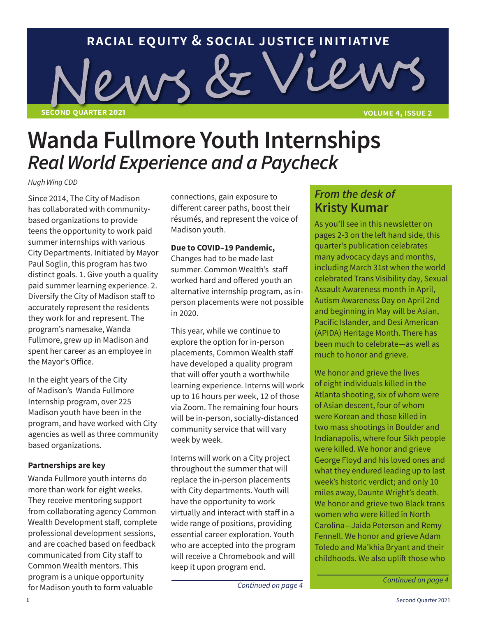# **racial equity & social justice initiative**

**second quarter 2021 volume 4, issue 2**

**Wanda Fullmore Youth Internships** 

WS Č

*Real World Experience and a Paycheck*

Since 2014, The City of Madison has collaborated with communitybased organizations to provide teens the opportunity to work paid summer internships with various City Departments. Initiated by Mayor Paul Soglin, this program has two distinct goals. 1. Give youth a quality paid summer learning experience. 2. Diversify the City of Madison staff to accurately represent the residents they work for and represent. The program's namesake, Wanda Fullmore, grew up in Madison and spent her career as an employee in the Mayor's Office. *Hugh Wing CDD*

In the eight years of the City of Madison's Wanda Fullmore Internship program, over 225 Madison youth have been in the program, and have worked with City agencies as well as three community based organizations.

#### **Partnerships are key**

Wanda Fullmore youth interns do more than work for eight weeks. They receive mentoring support from collaborating agency Common Wealth Development staff, complete professional development sessions, and are coached based on feedback communicated from City staff to Common Wealth mentors. This program is a unique opportunity for Madison youth to form valuable

connections, gain exposure to different career paths, boost their résumés, and represent the voice of Madison youth.

#### **Due to COVID–19 Pandemic,**

Changes had to be made last summer. Common Wealth's staff worked hard and offered youth an alternative internship program, as inperson placements were not possible in 2020.

This year, while we continue to explore the option for in-person placements, Common Wealth staff have developed a quality program that will offer youth a worthwhile learning experience. Interns will work up to 16 hours per week, 12 of those via Zoom. The remaining four hours will be in-person, socially-distanced community service that will vary week by week.

Interns will work on a City project throughout the summer that will replace the in-person placements with City departments. Youth will have the opportunity to work virtually and interact with staff in a wide range of positions, providing essential career exploration. Youth who are accepted into the program will receive a Chromebook and will keep it upon program end.

*Continued on page 4*

# *From the desk of*  **Kristy Kumar**

ier

As you'll see in this newsletter on pages 2-3 on the left hand side, this quarter's publication celebrates many advocacy days and months, including March 31st when the world celebrated Trans Visibility day, Sexual Assault Awareness month in April, Autism Awareness Day on April 2nd and beginning in May will be Asian, Pacific Islander, and Desi American (APIDA) Heritage Month. There has been much to celebrate—as well as much to honor and grieve.

We honor and grieve the lives of eight individuals killed in the Atlanta shooting, six of whom were of Asian descent, four of whom were Korean and those killed in two mass shootings in Boulder and Indianapolis, where four Sikh people were killed. We honor and grieve George Floyd and his loved ones and what they endured leading up to last week's historic verdict; and only 10 miles away, Daunte Wright's death. We honor and grieve two Black trans women who were killed in North Carolina—Jaida Peterson and Remy Fennell. We honor and grieve Adam Toledo and Ma'khia Bryant and their childhoods. We also uplift those who

*Continued on page 4*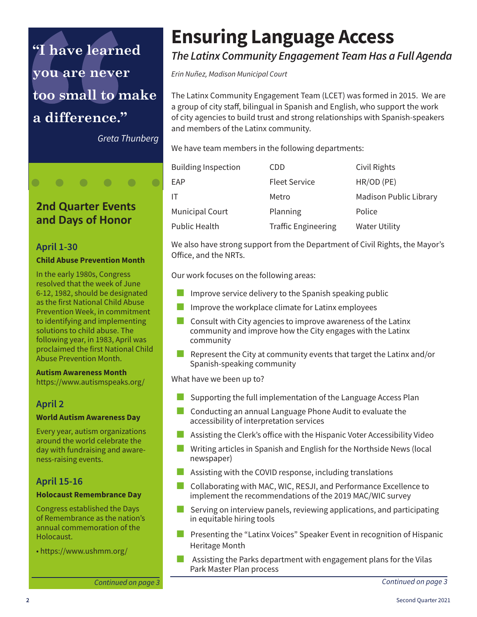# **"I have learned you are never too small to make a difference."**

*Greta Thunberg*

# **2nd Quarter Events and Days of Honor**

## **April 1-30**

 $\bullet$ 

#### **Child Abuse Prevention Month**

In the early 1980s, Congress resolved that the week of June 6-12, 1982, should be designated as the first National Child Abuse Prevention Week, in commitment to identifying and implementing solutions to child abuse. The following year, in 1983, April was proclaimed the first National Child Abuse Prevention Month.

#### **Autism Awareness Month** https://www.autismspeaks.org/

## **April 2**

#### **World Autism Awareness Day**

Every year, autism organizations around the world celebrate the day with fundraising and awareness-raising events.

# **April 15-16**

#### **Holocaust Remembrance Day**

Congress established the Days of Remembrance as the nation's annual commemoration of the Holocaust.

• https://www.ushmm.org/

# **Ensuring Language Access**

# *The Latinx Community Engagement Team Has a Full Agenda*

*Erin Nuñez, Madison Municipal Court*

The Latinx Community Engagement Team (LCET) was formed in 2015. We are a group of city staff, bilingual in Spanish and English, who support the work of city agencies to build trust and strong relationships with Spanish-speakers and members of the Latinx community.

We have team members in the following departments:

| <b>Building Inspection</b> | CDD                        | Civil Rights                  |
|----------------------------|----------------------------|-------------------------------|
| EAP                        | <b>Fleet Service</b>       | HR/OD (PE)                    |
| IT                         | Metro                      | <b>Madison Public Library</b> |
| <b>Municipal Court</b>     | Planning                   | Police                        |
| <b>Public Health</b>       | <b>Traffic Engineering</b> | <b>Water Utility</b>          |

We also have strong support from the Department of Civil Rights, the Mayor's Office, and the NRTs.

Our work focuses on the following areas:

- Improve service delivery to the Spanish speaking public
- Improve the workplace climate for Latinx employees
- Consult with City agencies to improve awareness of the Latinx community and improve how the City engages with the Latinx community
- Represent the City at community events that target the Latinx and/or Spanish-speaking community

What have we been up to?

- Supporting the full implementation of the Language Access Plan
- **Conducting an annual Language Phone Audit to evaluate the** accessibility of interpretation services
- Assisting the Clerk's office with the Hispanic Voter Accessibility Video
- **Writing articles in Spanish and English for the Northside News (local** newspaper)
- **Assisting with the COVID response, including translations**
- Collaborating with MAC, WIC, RESJI, and Performance Excellence to implement the recommendations of the 2019 MAC/WIC survey
- Serving on interview panels, reviewing applications, and participating in equitable hiring tools
- **Presenting the "Latinx Voices" Speaker Event in recognition of Hispanic** Heritage Month
- Assisting the Parks department with engagement plans for the Vilas Park Master Plan process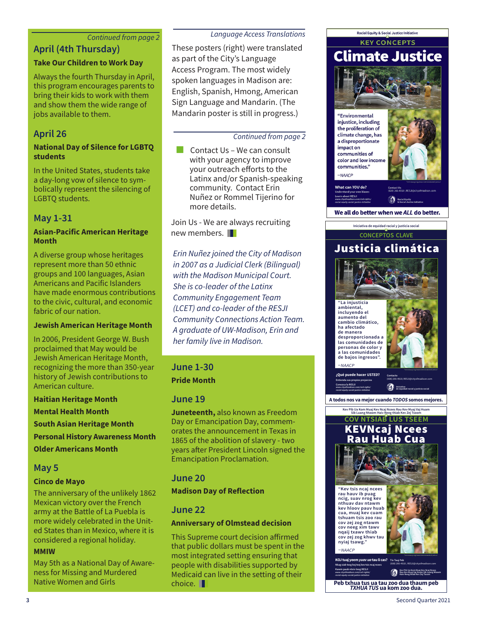#### *Continued from page 2*

## **April (4th Thursday)**

#### **Take Our Children to Work Day**

Always the fourth Thursday in April, this program encourages parents to bring their kids to work with them and show them the wide range of jobs available to them.

# **April 26**

#### **National Day of Silence for LGBTQ students**

In the United States, students take a day-long vow of silence to symbolically represent the silencing of LGBTQ students.

# **May 1-31**

#### **Asian-Pacific American Heritage Month**

A diverse group whose heritages represent more than 50 ethnic groups and 100 languages, Asian Americans and Pacific Islanders have made enormous contributions to the civic, cultural, and economic fabric of our nation.

#### **Jewish American Heritage Month**

In 2006, President George W. Bush proclaimed that May would be Jewish American Heritage Month, recognizing the more than 350-year history of Jewish contributions to American culture.

**Haitian Heritage Month**

**Mental Health Month**

**South Asian Heritage Month**

**Personal History Awareness Month**

**Older Americans Month**

### **May 5**

#### **Cinco de Mayo**

The anniversary of the unlikely 1862 Mexican victory over the French army at the Battle of La Puebla is more widely celebrated in the United States than in Mexico, where it is considered a regional holiday.

#### **MMIW**

May 5th as a National Day of Awareness for Missing and Murdered Native Women and Girls

#### *Language Access Translations*

These posters (right) were translated as part of the City's Language Access Program. The most widely spoken languages in Madison are: English, Spanish, Hmong, American Sign Language and Mandarin. (The Mandarin poster is still in progress.)

#### *Continued from page 2*

Contact Us – We can consult with your agency to improve your outreach efforts to the Latinx and/or Spanish-speaking community. Contact Erin Nuñez or Rommel Tijerino for more details.

Join Us - We are always recruiting new members.

*Erin Nuñez joined the City of Madison in 2007 as a Judicial Clerk (Bilingual) with the Madison Municipal Court. She is co-leader of the Latinx Community Engagement Team (LCET) and co-leader of the RESJI Community Connections Action Team. A graduate of UW-Madison, Erin and her family live in Madison.*

**June 1-30 Pride Month**

#### **June 19**

**Juneteenth,** also known as Freedom Day or Emancipation Day, commemorates the announcement in Texas in 1865 of the abolition of slavery - two years after President Lincoln signed the Emancipation Proclamation.

### **June 20**

#### **Madison Day of Reflection**

## **June 22**

#### **Anniversary of Olmstead decision**

This Supreme court decision affirmed that public dollars must be spent in the most integrated setting ensuring that people with disabilities supported by Medicaid can live in the setting of their choice. II